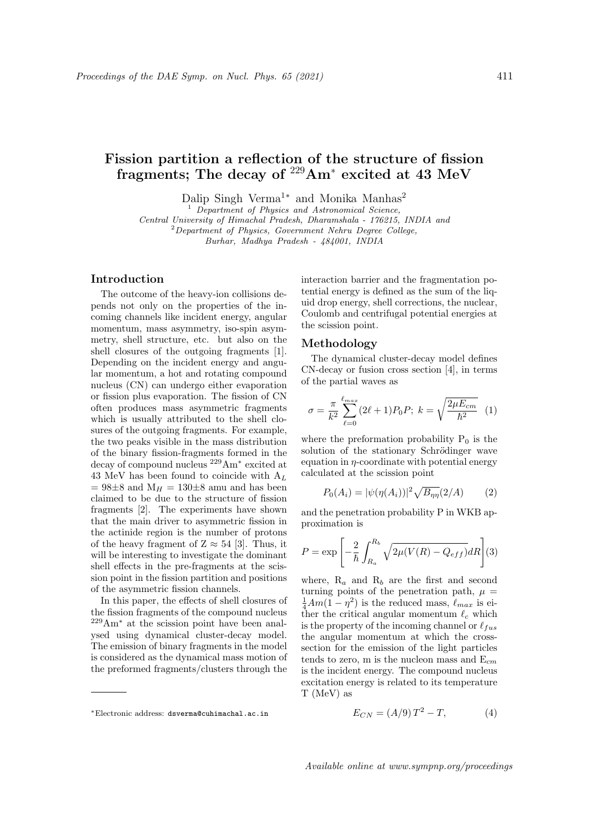# Fission partition a reflection of the structure of fission fragments; The decay of  $^{229}Am^*$  excited at 43 MeV

Dalip Singh Verma<sup>1∗</sup> and Monika Manhas<sup>2</sup>

<sup>1</sup> Department of Physics and Astronomical Science, Central University of Himachal Pradesh, Dharamshala - 176215, INDIA and  $2$ Department of Physics, Government Nehru Degree College, Burhar, Madhya Pradesh - 484001, INDIA

## Introduction

The outcome of the heavy-ion collisions depends not only on the properties of the incoming channels like incident energy, angular momentum, mass asymmetry, iso-spin asymmetry, shell structure, etc. but also on the shell closures of the outgoing fragments [1]. Depending on the incident energy and angular momentum, a hot and rotating compound nucleus (CN) can undergo either evaporation or fission plus evaporation. The fission of CN often produces mass asymmetric fragments which is usually attributed to the shell closures of the outgoing fragments. For example, the two peaks visible in the mass distribution of the binary fission-fragments formed in the decay of compound nucleus <sup>229</sup>Am<sup>∗</sup> excited at 43 MeV has been found to coincide with  $A_L$  $= 98\pm 8$  and  $M_H = 130\pm 8$  amu and has been claimed to be due to the structure of fission fragments [2]. The experiments have shown that the main driver to asymmetric fission in the actinide region is the number of protons of the heavy fragment of  $Z \approx 54$  [3]. Thus, it will be interesting to investigate the dominant shell effects in the pre-fragments at the scission point in the fission partition and positions of the asymmetric fission channels.

In this paper, the effects of shell closures of the fission fragments of the compound nucleus <sup>229</sup>Am<sup>∗</sup> at the scission point have been analysed using dynamical cluster-decay model. The emission of binary fragments in the model is considered as the dynamical mass motion of the preformed fragments/clusters through the

interaction barrier and the fragmentation potential energy is defined as the sum of the liquid drop energy, shell corrections, the nuclear, Coulomb and centrifugal potential energies at the scission point.

# Methodology

The dynamical cluster-decay model defines CN-decay or fusion cross section [4], in terms of the partial waves as

$$
\sigma = \frac{\pi}{k^2} \sum_{\ell=0}^{\ell_{max}} (2\ell+1) P_0 P; \ k = \sqrt{\frac{2\mu E_{cm}}{\hbar^2}} \quad (1)
$$

where the preformation probability  $P_0$  is the solution of the stationary Schrödinger wave equation in  $\eta$ -coordinate with potential energy calculated at the scission point

$$
P_0(A_i) = |\psi(\eta(A_i))|^2 \sqrt{B_{\eta\eta}}(2/A)
$$
 (2)

and the penetration probability P in WKB approximation is

$$
P = \exp\left[-\frac{2}{\hbar} \int_{R_a}^{R_b} \sqrt{2\mu(V(R) - Q_{eff})} dR\right](3)
$$

where,  $R_a$  and  $R_b$  are the first and second turning points of the penetration path,  $\mu =$  $\frac{1}{4}Am(1-\eta^2)$  is the reduced mass,  $\ell_{max}$  is either the critical angular momentum  $\ell_c$  which is the property of the incoming channel or  $\ell_{fus}$ the angular momentum at which the crosssection for the emission of the light particles tends to zero, m is the nucleon mass and  $E_{cm}$ is the incident energy. The compound nucleus excitation energy is related to its temperature T (MeV) as

$$
E_{CN} = (A/9)T^2 - T,
$$
 (4)

<sup>∗</sup>Electronic address: dsverma@cuhimachal.ac.in